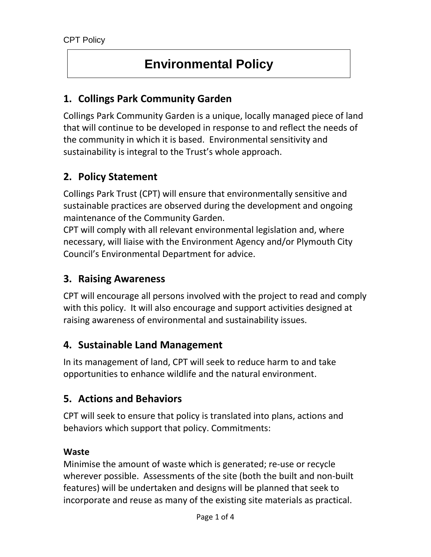# **Environmental Policy**

# **1. Collings Park Community Garden**

Collings Park Community Garden is a unique, locally managed piece of land that will continue to be developed in response to and reflect the needs of the community in which it is based. Environmental sensitivity and sustainability is integral to the Trust's whole approach.

# **2. Policy Statement**

Collings Park Trust (CPT) will ensure that environmentally sensitive and sustainable practices are observed during the development and ongoing maintenance of the Community Garden.

CPT will comply with all relevant environmental legislation and, where necessary, will liaise with the Environment Agency and/or Plymouth City Council's Environmental Department for advice.

# **3. Raising Awareness**

CPT will encourage all persons involved with the project to read and comply with this policy. It will also encourage and support activities designed at raising awareness of environmental and sustainability issues.

# **4. Sustainable Land Management**

In its management of land, CPT will seek to reduce harm to and take opportunities to enhance wildlife and the natural environment.

# **5. Actions and Behaviors**

CPT will seek to ensure that policy is translated into plans, actions and behaviors which support that policy. Commitments:

### **Waste**

Minimise the amount of waste which is generated; re-use or recycle wherever possible. Assessments of the site (both the built and non-built features) will be undertaken and designs will be planned that seek to incorporate and reuse as many of the existing site materials as practical.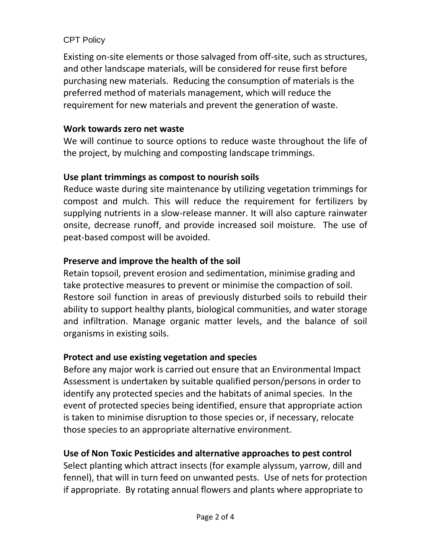### CPT Policy

Existing on-site elements or those salvaged from off-site, such as structures, and other landscape materials, will be considered for reuse first before purchasing new materials. Reducing the consumption of materials is the preferred method of materials management, which will reduce the requirement for new materials and prevent the generation of waste.

### **Work towards zero net waste**

We will continue to source options to reduce waste throughout the life of the project, by mulching and composting landscape trimmings.

# **Use plant trimmings as compost to nourish soils**

Reduce waste during site maintenance by utilizing vegetation trimmings for compost and mulch. This will reduce the requirement for fertilizers by supplying nutrients in a slow-release manner. It will also capture rainwater onsite, decrease runoff, and provide increased soil moisture. The use of peat-based compost will be avoided.

# **Preserve and improve the health of the soil**

Retain topsoil, prevent erosion and sedimentation, minimise grading and take protective measures to prevent or minimise the compaction of soil. Restore soil function in areas of previously disturbed soils to rebuild their ability to support healthy plants, biological communities, and water storage and infiltration. Manage organic matter levels, and the balance of soil organisms in existing soils.

# **Protect and use existing vegetation and species**

Before any major work is carried out ensure that an Environmental Impact Assessment is undertaken by suitable qualified person/persons in order to identify any protected species and the habitats of animal species. In the event of protected species being identified, ensure that appropriate action is taken to minimise disruption to those species or, if necessary, relocate those species to an appropriate alternative environment.

# **Use of Non Toxic Pesticides and alternative approaches to pest control**

Select planting which attract insects (for example alyssum, yarrow, dill and fennel), that will in turn feed on unwanted pests. Use of nets for protection if appropriate. By rotating annual flowers and plants where appropriate to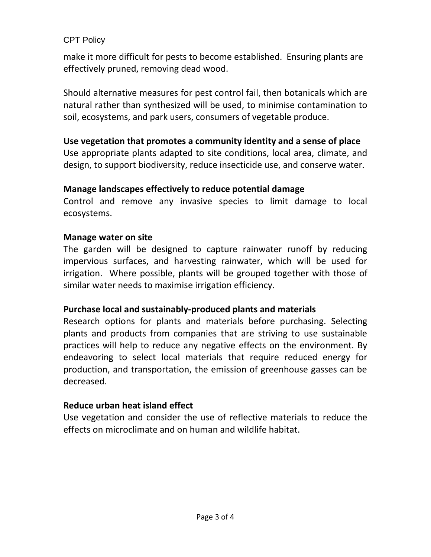### CPT Policy

make it more difficult for pests to become established. Ensuring plants are effectively pruned, removing dead wood.

Should alternative measures for pest control fail, then botanicals which are natural rather than synthesized will be used, to minimise contamination to soil, ecosystems, and park users, consumers of vegetable produce.

#### **Use vegetation that promotes a community identity and a sense of place**

Use appropriate plants adapted to site conditions, local area, climate, and design, to support biodiversity, reduce insecticide use, and conserve water.

### **Manage landscapes effectively to reduce potential damage**

Control and remove any invasive species to limit damage to local ecosystems.

### **Manage water on site**

The garden will be designed to capture rainwater runoff by reducing impervious surfaces, and harvesting rainwater, which will be used for irrigation. Where possible, plants will be grouped together with those of similar water needs to maximise irrigation efficiency.

### **Purchase local and sustainably-produced plants and materials**

Research options for plants and materials before purchasing. Selecting plants and products from companies that are striving to use sustainable practices will help to reduce any negative effects on the environment. By endeavoring to select local materials that require reduced energy for production, and transportation, the emission of greenhouse gasses can be decreased.

### **Reduce urban heat island effect**

Use vegetation and consider the use of reflective materials to reduce the effects on microclimate and on human and wildlife habitat.